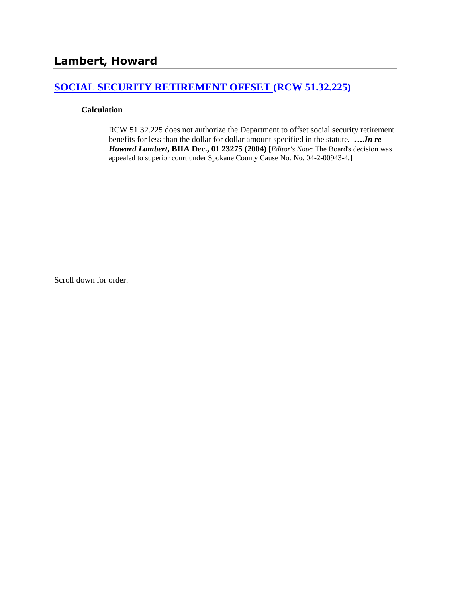## **[SOCIAL SECURITY RETIREMENT OFFSET \(RCW 51.32.225\)](http://www.biia.wa.gov/SDSubjectIndex.html#SOCIAL_SECURITY_DISABILITY_OFFSET)**

#### **Calculation**

RCW 51.32.225 does not authorize the Department to offset social security retirement benefits for less than the dollar for dollar amount specified in the statute. **….***In re Howard Lambert***, BIIA Dec., 01 23275 (2004)** [*Editor's Note*: The Board's decision was appealed to superior court under Spokane County Cause No. No. 04-2-00943-4.]

Scroll down for order.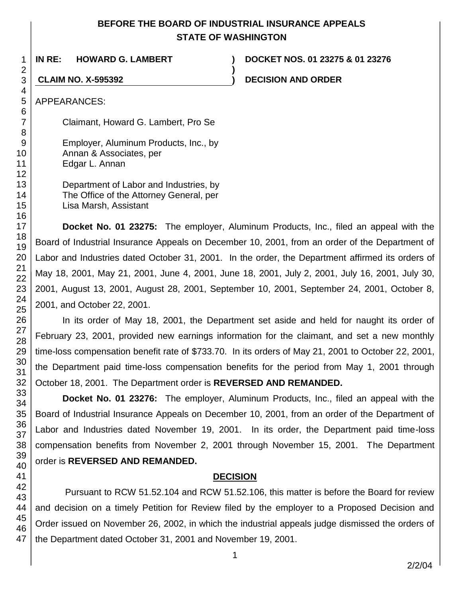## **BEFORE THE BOARD OF INDUSTRIAL INSURANCE APPEALS STATE OF WASHINGTON**

**IN RE: HOWARD G. LAMBERT ) DOCKET NOS. 01 23275 & 01 23276 ) CLAIM NO. X-595392 ) DECISION AND ORDER** APPEARANCES: Claimant, Howard G. Lambert, Pro Se Employer, Aluminum Products, Inc., by

Department of Labor and Industries, by The Office of the Attorney General, per Lisa Marsh, Assistant

Annan & Associates, per

Edgar L. Annan

**Docket No. 01 23275:** The employer, Aluminum Products, Inc., filed an appeal with the Board of Industrial Insurance Appeals on December 10, 2001, from an order of the Department of Labor and Industries dated October 31, 2001. In the order, the Department affirmed its orders of May 18, 2001, May 21, 2001, June 4, 2001, June 18, 2001, July 2, 2001, July 16, 2001, July 30, 2001, August 13, 2001, August 28, 2001, September 10, 2001, September 24, 2001, October 8, 2001, and October 22, 2001.

In its order of May 18, 2001, the Department set aside and held for naught its order of February 23, 2001, provided new earnings information for the claimant, and set a new monthly time-loss compensation benefit rate of \$733.70. In its orders of May 21, 2001 to October 22, 2001, the Department paid time-loss compensation benefits for the period from May 1, 2001 through October 18, 2001. The Department order is **REVERSED AND REMANDED.**

**Docket No. 01 23276:** The employer, Aluminum Products, Inc., filed an appeal with the Board of Industrial Insurance Appeals on December 10, 2001, from an order of the Department of Labor and Industries dated November 19, 2001. In its order, the Department paid time-loss compensation benefits from November 2, 2001 through November 15, 2001. The Department order is **REVERSED AND REMANDED.**

## **DECISION**

Pursuant to RCW 51.52.104 and RCW 51.52.106, this matter is before the Board for review and decision on a timely Petition for Review filed by the employer to a Proposed Decision and Order issued on November 26, 2002, in which the industrial appeals judge dismissed the orders of the Department dated October 31, 2001 and November 19, 2001.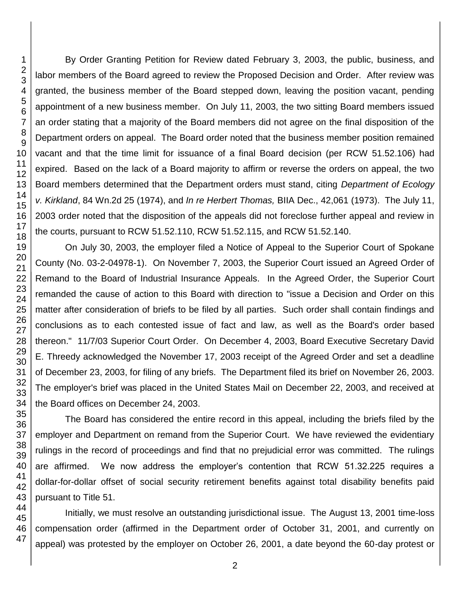By Order Granting Petition for Review dated February 3, 2003, the public, business, and labor members of the Board agreed to review the Proposed Decision and Order. After review was granted, the business member of the Board stepped down, leaving the position vacant, pending appointment of a new business member. On July 11, 2003, the two sitting Board members issued an order stating that a majority of the Board members did not agree on the final disposition of the Department orders on appeal. The Board order noted that the business member position remained vacant and that the time limit for issuance of a final Board decision (per RCW 51.52.106) had expired. Based on the lack of a Board majority to affirm or reverse the orders on appeal, the two Board members determined that the Department orders must stand, citing *Department of Ecology v. Kirkland*, 84 Wn.2d 25 (1974), and *In re Herbert Thomas,* BIIA Dec., 42,061 (1973). The July 11, 2003 order noted that the disposition of the appeals did not foreclose further appeal and review in the courts, pursuant to RCW 51.52.110, RCW 51.52.115, and RCW 51.52.140.

On July 30, 2003, the employer filed a Notice of Appeal to the Superior Court of Spokane County (No. 03-2-04978-1). On November 7, 2003, the Superior Court issued an Agreed Order of Remand to the Board of Industrial Insurance Appeals. In the Agreed Order, the Superior Court remanded the cause of action to this Board with direction to "issue a Decision and Order on this matter after consideration of briefs to be filed by all parties. Such order shall contain findings and conclusions as to each contested issue of fact and law, as well as the Board's order based thereon." 11/7/03 Superior Court Order. On December 4, 2003, Board Executive Secretary David E. Threedy acknowledged the November 17, 2003 receipt of the Agreed Order and set a deadline of December 23, 2003, for filing of any briefs. The Department filed its brief on November 26, 2003. The employer's brief was placed in the United States Mail on December 22, 2003, and received at the Board offices on December 24, 2003.

The Board has considered the entire record in this appeal, including the briefs filed by the employer and Department on remand from the Superior Court. We have reviewed the evidentiary rulings in the record of proceedings and find that no prejudicial error was committed. The rulings are affirmed. We now address the employer's contention that RCW 51.32.225 requires a dollar-for-dollar offset of social security retirement benefits against total disability benefits paid pursuant to Title 51.

Initially, we must resolve an outstanding jurisdictional issue. The August 13, 2001 time-loss compensation order (affirmed in the Department order of October 31, 2001, and currently on appeal) was protested by the employer on October 26, 2001, a date beyond the 60-day protest or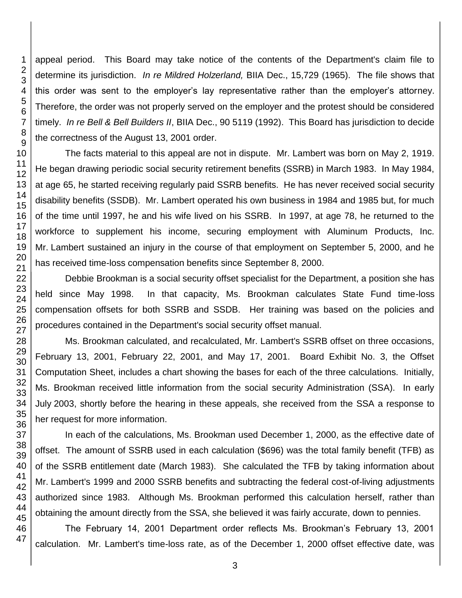appeal period. This Board may take notice of the contents of the Department's claim file to determine its jurisdiction. *In re Mildred Holzerland,* BIIA Dec., 15,729 (1965). The file shows that this order was sent to the employer's lay representative rather than the employer's attorney. Therefore, the order was not properly served on the employer and the protest should be considered timely. *In re Bell & Bell Builders II*, BIIA Dec., 90 5119 (1992). This Board has jurisdiction to decide the correctness of the August 13, 2001 order.

The facts material to this appeal are not in dispute. Mr. Lambert was born on May 2, 1919. He began drawing periodic social security retirement benefits (SSRB) in March 1983. In May 1984, at age 65, he started receiving regularly paid SSRB benefits. He has never received social security disability benefits (SSDB). Mr. Lambert operated his own business in 1984 and 1985 but, for much of the time until 1997, he and his wife lived on his SSRB. In 1997, at age 78, he returned to the workforce to supplement his income, securing employment with Aluminum Products, Inc. Mr. Lambert sustained an injury in the course of that employment on September 5, 2000, and he has received time-loss compensation benefits since September 8, 2000.

Debbie Brookman is a social security offset specialist for the Department, a position she has held since May 1998. In that capacity, Ms. Brookman calculates State Fund time-loss compensation offsets for both SSRB and SSDB. Her training was based on the policies and procedures contained in the Department's social security offset manual.

Ms. Brookman calculated, and recalculated, Mr. Lambert's SSRB offset on three occasions, February 13, 2001, February 22, 2001, and May 17, 2001. Board Exhibit No. 3, the Offset Computation Sheet, includes a chart showing the bases for each of the three calculations. Initially, Ms. Brookman received little information from the social security Administration (SSA). In early July 2003, shortly before the hearing in these appeals, she received from the SSA a response to her request for more information.

In each of the calculations, Ms. Brookman used December 1, 2000, as the effective date of offset. The amount of SSRB used in each calculation (\$696) was the total family benefit (TFB) as of the SSRB entitlement date (March 1983). She calculated the TFB by taking information about Mr. Lambert's 1999 and 2000 SSRB benefits and subtracting the federal cost-of-living adjustments authorized since 1983. Although Ms. Brookman performed this calculation herself, rather than obtaining the amount directly from the SSA, she believed it was fairly accurate, down to pennies.

The February 14, 2001 Department order reflects Ms. Brookman's February 13, 2001 calculation. Mr. Lambert's time-loss rate, as of the December 1, 2000 offset effective date, was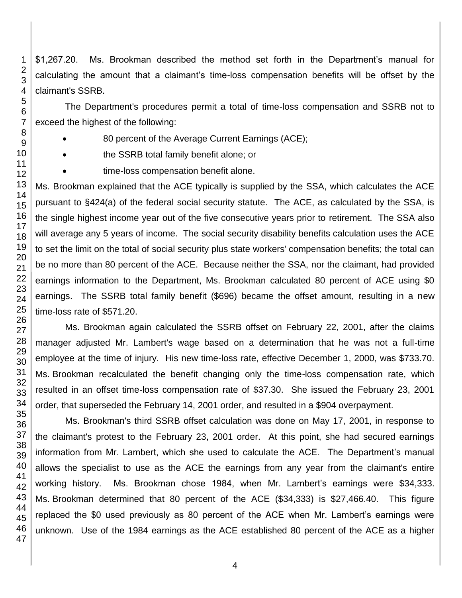\$1,267.20. Ms. Brookman described the method set forth in the Department's manual for calculating the amount that a claimant's time-loss compensation benefits will be offset by the claimant's SSRB.

The Department's procedures permit a total of time-loss compensation and SSRB not to exceed the highest of the following:

- 80 percent of the Average Current Earnings (ACE);
- the SSRB total family benefit alone; or
- time-loss compensation benefit alone.

Ms. Brookman explained that the ACE typically is supplied by the SSA, which calculates the ACE pursuant to §424(a) of the federal social security statute. The ACE, as calculated by the SSA, is the single highest income year out of the five consecutive years prior to retirement. The SSA also will average any 5 years of income. The social security disability benefits calculation uses the ACE to set the limit on the total of social security plus state workers' compensation benefits; the total can be no more than 80 percent of the ACE. Because neither the SSA, nor the claimant, had provided earnings information to the Department, Ms. Brookman calculated 80 percent of ACE using \$0 earnings. The SSRB total family benefit (\$696) became the offset amount, resulting in a new time-loss rate of \$571.20.

Ms. Brookman again calculated the SSRB offset on February 22, 2001, after the claims manager adjusted Mr. Lambert's wage based on a determination that he was not a full-time employee at the time of injury. His new time-loss rate, effective December 1, 2000, was \$733.70. Ms. Brookman recalculated the benefit changing only the time-loss compensation rate, which resulted in an offset time-loss compensation rate of \$37.30. She issued the February 23, 2001 order, that superseded the February 14, 2001 order, and resulted in a \$904 overpayment.

Ms. Brookman's third SSRB offset calculation was done on May 17, 2001, in response to the claimant's protest to the February 23, 2001 order. At this point, she had secured earnings information from Mr. Lambert, which she used to calculate the ACE. The Department's manual allows the specialist to use as the ACE the earnings from any year from the claimant's entire working history. Ms. Brookman chose 1984, when Mr. Lambert's earnings were \$34,333. Ms. Brookman determined that 80 percent of the ACE (\$34,333) is \$27,466.40. This figure replaced the \$0 used previously as 80 percent of the ACE when Mr. Lambert's earnings were unknown. Use of the 1984 earnings as the ACE established 80 percent of the ACE as a higher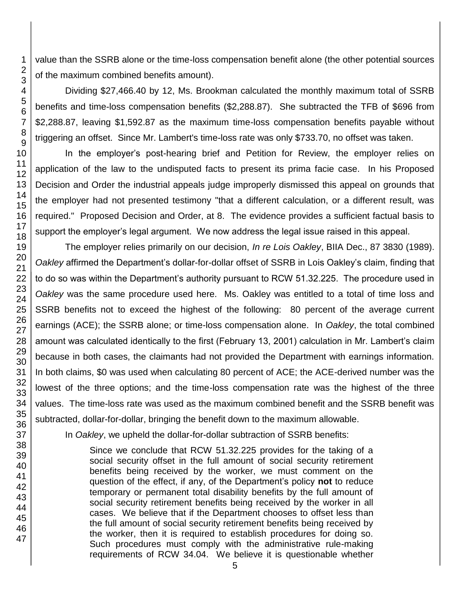value than the SSRB alone or the time-loss compensation benefit alone (the other potential sources of the maximum combined benefits amount).

Dividing \$27,466.40 by 12, Ms. Brookman calculated the monthly maximum total of SSRB benefits and time-loss compensation benefits (\$2,288.87). She subtracted the TFB of \$696 from \$2,288.87, leaving \$1,592.87 as the maximum time-loss compensation benefits payable without triggering an offset. Since Mr. Lambert's time-loss rate was only \$733.70, no offset was taken.

In the employer's post-hearing brief and Petition for Review, the employer relies on application of the law to the undisputed facts to present its prima facie case. In his Proposed Decision and Order the industrial appeals judge improperly dismissed this appeal on grounds that the employer had not presented testimony "that a different calculation, or a different result, was required." Proposed Decision and Order, at 8. The evidence provides a sufficient factual basis to support the employer's legal argument. We now address the legal issue raised in this appeal.

The employer relies primarily on our decision, *In re Lois Oakley*, BIIA Dec., 87 3830 (1989). *Oakley* affirmed the Department's dollar-for-dollar offset of SSRB in Lois Oakley's claim, finding that to do so was within the Department's authority pursuant to RCW 51.32.225. The procedure used in *Oakley* was the same procedure used here. Ms. Oakley was entitled to a total of time loss and SSRB benefits not to exceed the highest of the following: 80 percent of the average current earnings (ACE); the SSRB alone; or time-loss compensation alone. In *Oakley*, the total combined amount was calculated identically to the first (February 13, 2001) calculation in Mr. Lambert's claim because in both cases, the claimants had not provided the Department with earnings information. In both claims, \$0 was used when calculating 80 percent of ACE; the ACE-derived number was the lowest of the three options; and the time-loss compensation rate was the highest of the three values. The time-loss rate was used as the maximum combined benefit and the SSRB benefit was subtracted, dollar-for-dollar, bringing the benefit down to the maximum allowable.

In *Oakley*, we upheld the dollar-for-dollar subtraction of SSRB benefits:

Since we conclude that RCW 51.32.225 provides for the taking of a social security offset in the full amount of social security retirement benefits being received by the worker, we must comment on the question of the effect, if any, of the Department's policy **not** to reduce temporary or permanent total disability benefits by the full amount of social security retirement benefits being received by the worker in all cases. We believe that if the Department chooses to offset less than the full amount of social security retirement benefits being received by the worker, then it is required to establish procedures for doing so. Such procedures must comply with the administrative rule-making requirements of RCW 34.04. We believe it is questionable whether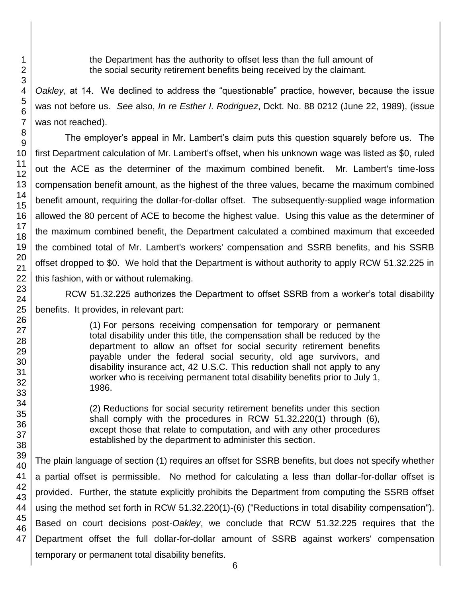the Department has the authority to offset less than the full amount of the social security retirement benefits being received by the claimant.

*Oakley*, at 14. We declined to address the "questionable" practice, however, because the issue was not before us. *See* also, *In re Esther I. Rodriguez*, Dckt. No. 88 0212 (June 22, 1989), (issue was not reached).

The employer's appeal in Mr. Lambert's claim puts this question squarely before us. The first Department calculation of Mr. Lambert's offset, when his unknown wage was listed as \$0, ruled out the ACE as the determiner of the maximum combined benefit. Mr. Lambert's time-loss compensation benefit amount, as the highest of the three values, became the maximum combined benefit amount, requiring the dollar-for-dollar offset. The subsequently-supplied wage information allowed the 80 percent of ACE to become the highest value. Using this value as the determiner of the maximum combined benefit, the Department calculated a combined maximum that exceeded the combined total of Mr. Lambert's workers' compensation and SSRB benefits, and his SSRB offset dropped to \$0. We hold that the Department is without authority to apply RCW 51.32.225 in this fashion, with or without rulemaking.

RCW 51.32.225 authorizes the Department to offset SSRB from a worker's total disability benefits. It provides, in relevant part:

> (1) For persons receiving compensation for temporary or permanent total disability under this title, the compensation shall be reduced by the department to allow an offset for social security retirement benefits payable under the federal social security, old age survivors, and disability insurance act, 42 U.S.C. This reduction shall not apply to any worker who is receiving permanent total disability benefits prior to July 1, 1986.

> (2) Reductions for social security retirement benefits under this section shall comply with the procedures in RCW 51.32.220(1) through (6), except those that relate to computation, and with any other procedures established by the department to administer this section.

The plain language of section (1) requires an offset for SSRB benefits, but does not specify whether a partial offset is permissible. No method for calculating a less than dollar-for-dollar offset is provided. Further, the statute explicitly prohibits the Department from computing the SSRB offset using the method set forth in RCW 51.32.220(1)-(6) ("Reductions in total disability compensation"). Based on court decisions post-*Oakley*, we conclude that RCW 51.32.225 requires that the Department offset the full dollar-for-dollar amount of SSRB against workers' compensation temporary or permanent total disability benefits.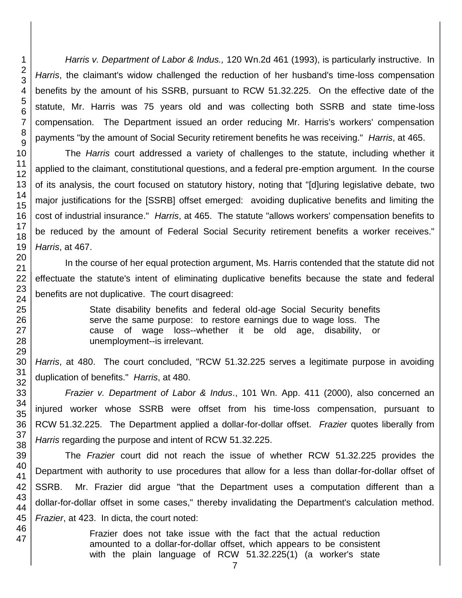*Harris v. Department of Labor & Indus.,* 120 Wn.2d 461 (1993), is particularly instructive. In *Harris*, the claimant's widow challenged the reduction of her husband's time-loss compensation benefits by the amount of his SSRB, pursuant to RCW 51.32.225. On the effective date of the statute, Mr. Harris was 75 years old and was collecting both SSRB and state time-loss compensation. The Department issued an order reducing Mr. Harris's workers' compensation payments "by the amount of Social Security retirement benefits he was receiving." *Harris*, at 465.

The *Harris* court addressed a variety of challenges to the statute, including whether it applied to the claimant, constitutional questions, and a federal pre-emption argument. In the course of its analysis, the court focused on statutory history, noting that "[d]uring legislative debate, two major justifications for the [SSRB] offset emerged: avoiding duplicative benefits and limiting the cost of industrial insurance." *Harris*, at 465. The statute "allows workers' compensation benefits to be reduced by the amount of Federal Social Security retirement benefits a worker receives." *Harris*, at 467.

In the course of her equal protection argument, Ms. Harris contended that the statute did not effectuate the statute's intent of eliminating duplicative benefits because the state and federal benefits are not duplicative. The court disagreed:

> State disability benefits and federal old-age Social Security benefits serve the same purpose: to restore earnings due to wage loss. The cause of wage loss--whether it be old age, disability, or unemployment--is irrelevant.

*Harris*, at 480. The court concluded, "RCW 51.32.225 serves a legitimate purpose in avoiding duplication of benefits." *Harris*, at 480.

*Frazier v. Department of Labor & Indus*., 101 Wn. App. 411 (2000), also concerned an injured worker whose SSRB were offset from his time-loss compensation, pursuant to RCW 51.32.225. The Department applied a dollar-for-dollar offset. *Frazier* quotes liberally from *Harris* regarding the purpose and intent of RCW 51.32.225.

The *Frazier* court did not reach the issue of whether RCW 51.32.225 provides the Department with authority to use procedures that allow for a less than dollar-for-dollar offset of SSRB. Mr. Frazier did argue "that the Department uses a computation different than a dollar-for-dollar offset in some cases," thereby invalidating the Department's calculation method. *Frazier*, at 423. In dicta, the court noted:

> Frazier does not take issue with the fact that the actual reduction amounted to a dollar-for-dollar offset, which appears to be consistent with the plain language of RCW 51.32.225(1) (a worker's state

47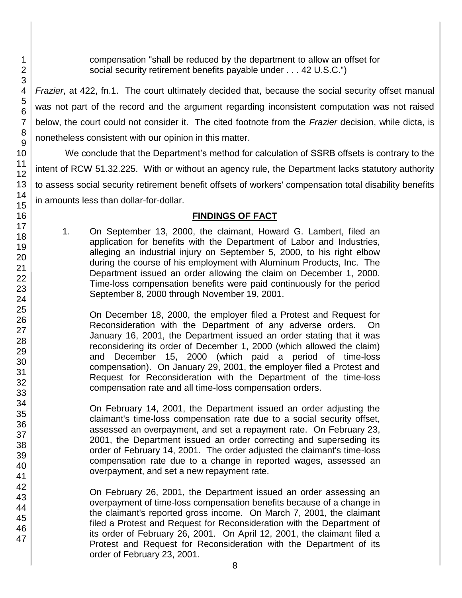compensation "shall be reduced by the department to allow an offset for social security retirement benefits payable under . . . 42 U.S.C.")

*Frazier*, at 422, fn.1. The court ultimately decided that, because the social security offset manual was not part of the record and the argument regarding inconsistent computation was not raised below, the court could not consider it. The cited footnote from the *Frazier* decision, while dicta, is nonetheless consistent with our opinion in this matter.

We conclude that the Department's method for calculation of SSRB offsets is contrary to the intent of RCW 51.32.225. With or without an agency rule, the Department lacks statutory authority to assess social security retirement benefit offsets of workers' compensation total disability benefits in amounts less than dollar-for-dollar.

# **FINDINGS OF FACT**

1. On September 13, 2000, the claimant, Howard G. Lambert, filed an application for benefits with the Department of Labor and Industries, alleging an industrial injury on September 5, 2000, to his right elbow during the course of his employment with Aluminum Products, Inc. The Department issued an order allowing the claim on December 1, 2000. Time-loss compensation benefits were paid continuously for the period September 8, 2000 through November 19, 2001.

On December 18, 2000, the employer filed a Protest and Request for Reconsideration with the Department of any adverse orders. On January 16, 2001, the Department issued an order stating that it was reconsidering its order of December 1, 2000 (which allowed the claim) and December 15, 2000 (which paid a period of time-loss compensation). On January 29, 2001, the employer filed a Protest and Request for Reconsideration with the Department of the time-loss compensation rate and all time-loss compensation orders.

On February 14, 2001, the Department issued an order adjusting the claimant's time-loss compensation rate due to a social security offset, assessed an overpayment, and set a repayment rate. On February 23, 2001, the Department issued an order correcting and superseding its order of February 14, 2001. The order adjusted the claimant's time-loss compensation rate due to a change in reported wages, assessed an overpayment, and set a new repayment rate.

On February 26, 2001, the Department issued an order assessing an overpayment of time-loss compensation benefits because of a change in the claimant's reported gross income. On March 7, 2001, the claimant filed a Protest and Request for Reconsideration with the Department of its order of February 26, 2001. On April 12, 2001, the claimant filed a Protest and Request for Reconsideration with the Department of its order of February 23, 2001.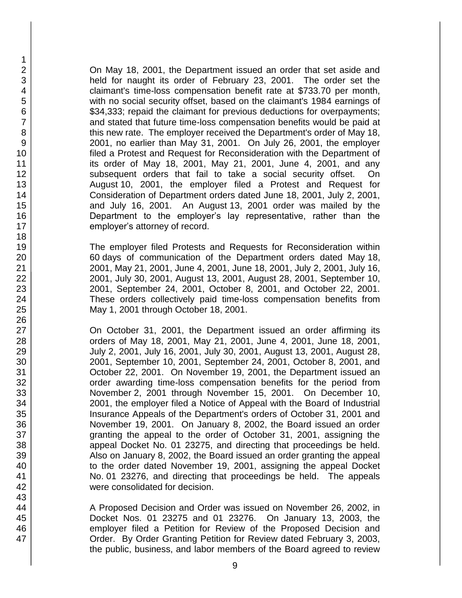On May 18, 2001, the Department issued an order that set aside and held for naught its order of February 23, 2001. The order set the claimant's time-loss compensation benefit rate at \$733.70 per month, with no social security offset, based on the claimant's 1984 earnings of \$34,333; repaid the claimant for previous deductions for overpayments; and stated that future time-loss compensation benefits would be paid at this new rate. The employer received the Department's order of May 18, 2001, no earlier than May 31, 2001. On July 26, 2001, the employer filed a Protest and Request for Reconsideration with the Department of its order of May 18, 2001, May 21, 2001, June 4, 2001, and any subsequent orders that fail to take a social security offset. On August 10, 2001, the employer filed a Protest and Request for Consideration of Department orders dated June 18, 2001, July 2, 2001, and July 16, 2001. An August 13, 2001 order was mailed by the Department to the employer's lay representative, rather than the employer's attorney of record.

The employer filed Protests and Requests for Reconsideration within 60 days of communication of the Department orders dated May 18, 2001, May 21, 2001, June 4, 2001, June 18, 2001, July 2, 2001, July 16, 2001, July 30, 2001, August 13, 2001, August 28, 2001, September 10, 2001, September 24, 2001, October 8, 2001, and October 22, 2001. These orders collectively paid time-loss compensation benefits from May 1, 2001 through October 18, 2001.

On October 31, 2001, the Department issued an order affirming its orders of May 18, 2001, May 21, 2001, June 4, 2001, June 18, 2001, July 2, 2001, July 16, 2001, July 30, 2001, August 13, 2001, August 28, 2001, September 10, 2001, September 24, 2001, October 8, 2001, and October 22, 2001. On November 19, 2001, the Department issued an order awarding time-loss compensation benefits for the period from November 2, 2001 through November 15, 2001. On December 10, 2001, the employer filed a Notice of Appeal with the Board of Industrial Insurance Appeals of the Department's orders of October 31, 2001 and November 19, 2001. On January 8, 2002, the Board issued an order granting the appeal to the order of October 31, 2001, assigning the appeal Docket No. 01 23275, and directing that proceedings be held. Also on January 8, 2002, the Board issued an order granting the appeal to the order dated November 19, 2001, assigning the appeal Docket No. 01 23276, and directing that proceedings be held. The appeals were consolidated for decision.

A Proposed Decision and Order was issued on November 26, 2002, in Docket Nos. 01 23275 and 01 23276. On January 13, 2003, the employer filed a Petition for Review of the Proposed Decision and Order. By Order Granting Petition for Review dated February 3, 2003, the public, business, and labor members of the Board agreed to review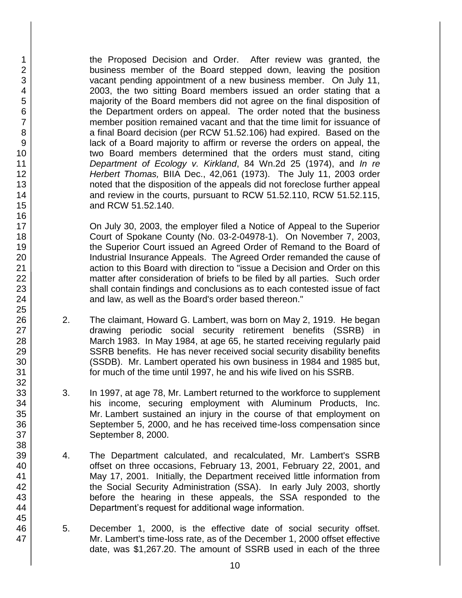the Proposed Decision and Order. After review was granted, the business member of the Board stepped down, leaving the position vacant pending appointment of a new business member. On July 11, 2003, the two sitting Board members issued an order stating that a majority of the Board members did not agree on the final disposition of the Department orders on appeal. The order noted that the business member position remained vacant and that the time limit for issuance of a final Board decision (per RCW 51.52.106) had expired. Based on the lack of a Board majority to affirm or reverse the orders on appeal, the two Board members determined that the orders must stand, citing *Department of Ecology v. Kirkland*, 84 Wn.2d 25 (1974), and *In re Herbert Thomas,* BIIA Dec., 42,061 (1973). The July 11, 2003 order noted that the disposition of the appeals did not foreclose further appeal and review in the courts, pursuant to RCW 51.52.110, RCW 51.52.115, and RCW 51.52.140.

On July 30, 2003, the employer filed a Notice of Appeal to the Superior Court of Spokane County (No. 03-2-04978-1). On November 7, 2003, the Superior Court issued an Agreed Order of Remand to the Board of Industrial Insurance Appeals. The Agreed Order remanded the cause of action to this Board with direction to "issue a Decision and Order on this matter after consideration of briefs to be filed by all parties. Such order shall contain findings and conclusions as to each contested issue of fact and law, as well as the Board's order based thereon."

- 2. The claimant, Howard G. Lambert, was born on May 2, 1919. He began drawing periodic social security retirement benefits (SSRB) in March 1983. In May 1984, at age 65, he started receiving regularly paid SSRB benefits. He has never received social security disability benefits (SSDB). Mr. Lambert operated his own business in 1984 and 1985 but, for much of the time until 1997, he and his wife lived on his SSRB.
- 3. In 1997, at age 78, Mr. Lambert returned to the workforce to supplement his income, securing employment with Aluminum Products, Inc. Mr. Lambert sustained an injury in the course of that employment on September 5, 2000, and he has received time-loss compensation since September 8, 2000.
- 4. The Department calculated, and recalculated, Mr. Lambert's SSRB offset on three occasions, February 13, 2001, February 22, 2001, and May 17, 2001. Initially, the Department received little information from the Social Security Administration (SSA). In early July 2003, shortly before the hearing in these appeals, the SSA responded to the Department's request for additional wage information.
- 5. December 1, 2000, is the effective date of social security offset. Mr. Lambert's time-loss rate, as of the December 1, 2000 offset effective date, was \$1,267.20. The amount of SSRB used in each of the three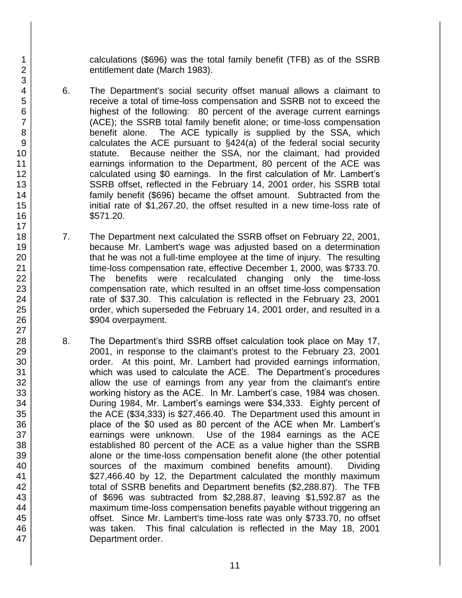calculations (\$696) was the total family benefit (TFB) as of the SSRB entitlement date (March 1983).

- 6. The Department's social security offset manual allows a claimant to receive a total of time-loss compensation and SSRB not to exceed the highest of the following: 80 percent of the average current earnings (ACE); the SSRB total family benefit alone; or time-loss compensation benefit alone. The ACE typically is supplied by the SSA, which calculates the ACE pursuant to §424(a) of the federal social security statute. Because neither the SSA, nor the claimant, had provided earnings information to the Department, 80 percent of the ACE was calculated using \$0 earnings. In the first calculation of Mr. Lambert's SSRB offset, reflected in the February 14, 2001 order, his SSRB total family benefit (\$696) became the offset amount. Subtracted from the initial rate of \$1,267.20, the offset resulted in a new time-loss rate of \$571.20.
- 7. The Department next calculated the SSRB offset on February 22, 2001, because Mr. Lambert's wage was adjusted based on a determination that he was not a full-time employee at the time of injury. The resulting time-loss compensation rate, effective December 1, 2000, was \$733.70. The benefits were recalculated changing only the time-loss compensation rate, which resulted in an offset time-loss compensation rate of \$37.30. This calculation is reflected in the February 23, 2001 order, which superseded the February 14, 2001 order, and resulted in a \$904 overpayment.
- 8. The Department's third SSRB offset calculation took place on May 17, 2001, in response to the claimant's protest to the February 23, 2001 order. At this point, Mr. Lambert had provided earnings information, which was used to calculate the ACE. The Department's procedures allow the use of earnings from any year from the claimant's entire working history as the ACE. In Mr. Lambert's case, 1984 was chosen. During 1984, Mr. Lambert's earnings were \$34,333. Eighty percent of the ACE (\$34,333) is \$27,466.40. The Department used this amount in place of the \$0 used as 80 percent of the ACE when Mr. Lambert's earnings were unknown. Use of the 1984 earnings as the ACE established 80 percent of the ACE as a value higher than the SSRB alone or the time-loss compensation benefit alone (the other potential sources of the maximum combined benefits amount). Dividing \$27,466.40 by 12, the Department calculated the monthly maximum total of SSRB benefits and Department benefits (\$2,288.87). The TFB of \$696 was subtracted from \$2,288.87, leaving \$1,592.87 as the maximum time-loss compensation benefits payable without triggering an offset. Since Mr. Lambert's time-loss rate was only \$733.70, no offset was taken. This final calculation is reflected in the May 18, 2001 Department order.